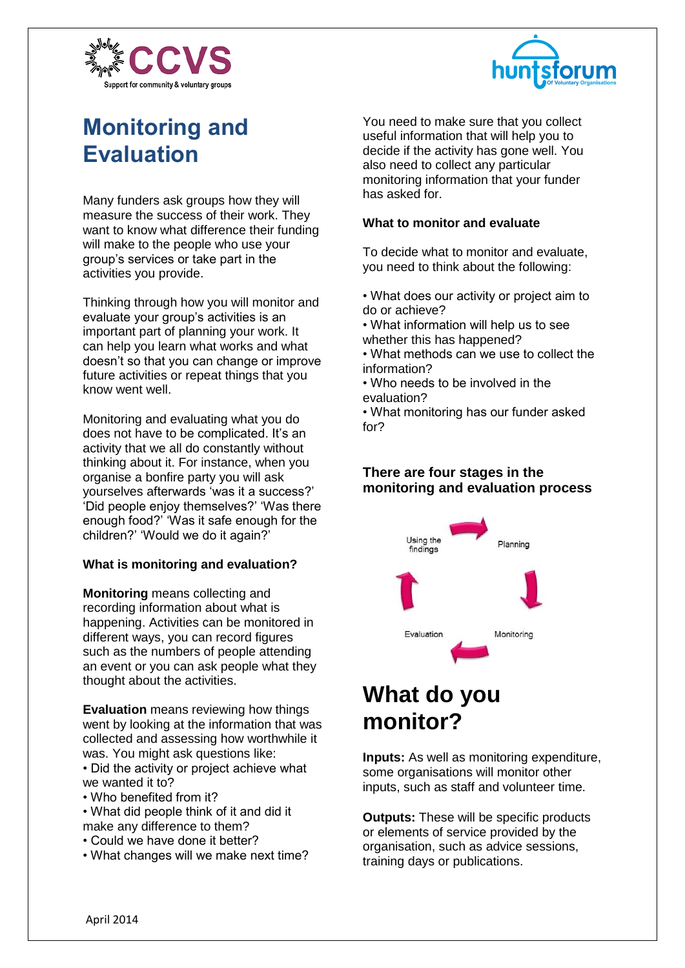



# **Monitoring and Evaluation**

Many funders ask groups how they will measure the success of their work. They want to know what difference their funding will make to the people who use your group's services or take part in the activities you provide.

Thinking through how you will monitor and evaluate your group's activities is an important part of planning your work. It can help you learn what works and what doesn't so that you can change or improve future activities or repeat things that you know went well.

Monitoring and evaluating what you do does not have to be complicated. It's an activity that we all do constantly without thinking about it. For instance, when you organise a bonfire party you will ask yourselves afterwards 'was it a success?' 'Did people enjoy themselves?' 'Was there enough food?' 'Was it safe enough for the children?' 'Would we do it again?'

### **What is monitoring and evaluation?**

**Monitoring** means collecting and recording information about what is happening. Activities can be monitored in different ways, you can record figures such as the numbers of people attending an event or you can ask people what they thought about the activities.

**Evaluation** means reviewing how things went by looking at the information that was collected and assessing how worthwhile it was. You might ask questions like:

• Did the activity or project achieve what we wanted it to?

• Who benefited from it?

• What did people think of it and did it make any difference to them?

- Could we have done it better?
- What changes will we make next time?

You need to make sure that you collect useful information that will help you to decide if the activity has gone well. You also need to collect any particular monitoring information that your funder has asked for.

### **What to monitor and evaluate**

To decide what to monitor and evaluate, you need to think about the following:

- What does our activity or project aim to do or achieve?
- What information will help us to see whether this has happened?
- What methods can we use to collect the information?
- Who needs to be involved in the evaluation?

• What monitoring has our funder asked for?

## **There are four stages in the monitoring and evaluation process**



# **What do you monitor?**

**Inputs:** As well as monitoring expenditure, some organisations will monitor other inputs, such as staff and volunteer time.

**Outputs:** These will be specific products or elements of service provided by the organisation, such as advice sessions, training days or publications.